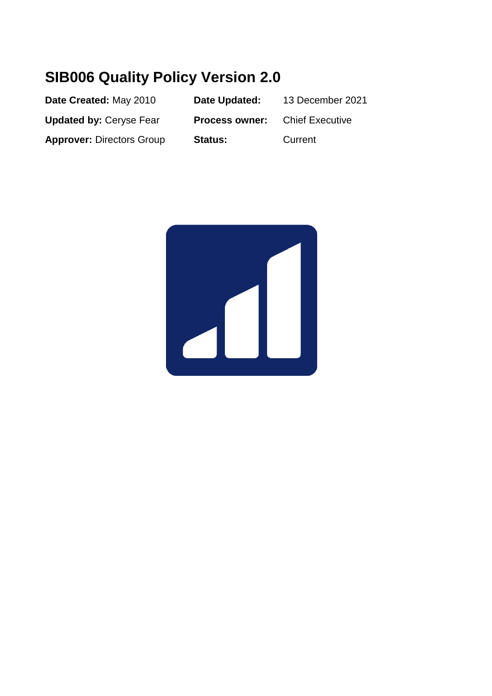# **SIB006 Quality Policy Version 2.0**

| Date Created: May 2010           | Date Updated:         | 13 December 2021       |
|----------------------------------|-----------------------|------------------------|
| <b>Updated by: Ceryse Fear</b>   | <b>Process owner:</b> | <b>Chief Executive</b> |
| <b>Approver: Directors Group</b> | <b>Status:</b>        | Current                |

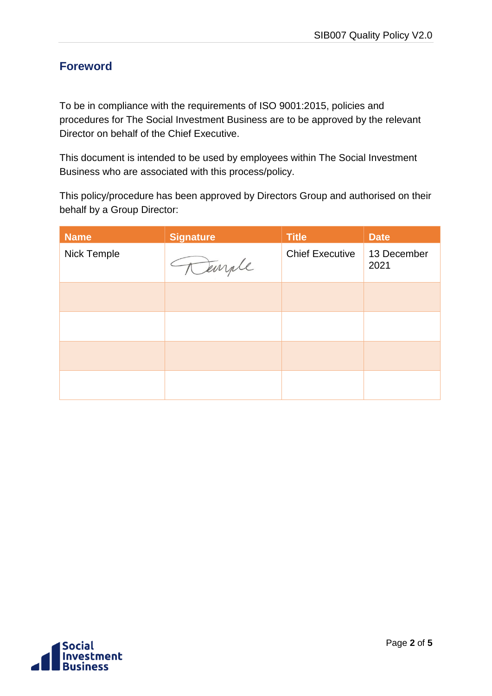### <span id="page-1-0"></span>**Foreword**

To be in compliance with the requirements of ISO 9001:2015, policies and procedures for The Social Investment Business are to be approved by the relevant Director on behalf of the Chief Executive.

This document is intended to be used by employees within The Social Investment Business who are associated with this process/policy.

This policy/procedure has been approved by Directors Group and authorised on their behalf by a Group Director:

| <b>Name</b> | <b>Signature</b> | <b>Title</b>           | <b>Date</b>         |
|-------------|------------------|------------------------|---------------------|
| Nick Temple | Temple           | <b>Chief Executive</b> | 13 December<br>2021 |
|             |                  |                        |                     |
|             |                  |                        |                     |
|             |                  |                        |                     |
|             |                  |                        |                     |

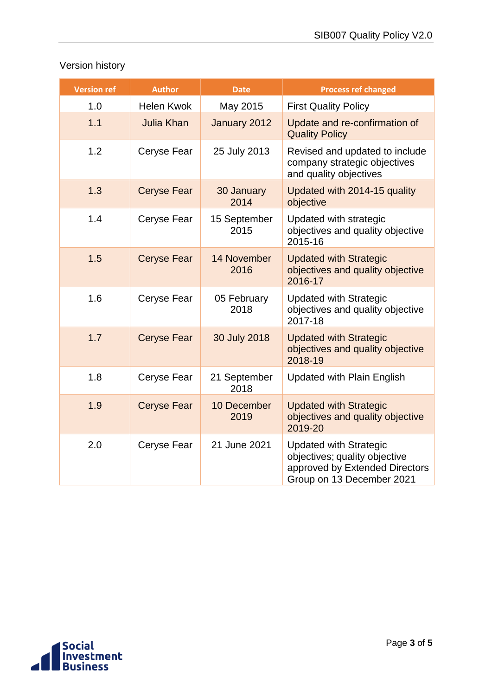### Version history

| <b>Version ref</b> | <b>Author</b>      | <b>Date</b>          | <b>Process ref changed</b>                                                                                                    |
|--------------------|--------------------|----------------------|-------------------------------------------------------------------------------------------------------------------------------|
| 1.0                | <b>Helen Kwok</b>  | May 2015             | <b>First Quality Policy</b>                                                                                                   |
| 1.1                | <b>Julia Khan</b>  | January 2012         | Update and re-confirmation of<br><b>Quality Policy</b>                                                                        |
| 1.2                | Ceryse Fear        | 25 July 2013         | Revised and updated to include<br>company strategic objectives<br>and quality objectives                                      |
| 1.3                | <b>Ceryse Fear</b> | 30 January<br>2014   | Updated with 2014-15 quality<br>objective                                                                                     |
| 1.4                | Ceryse Fear        | 15 September<br>2015 | Updated with strategic<br>objectives and quality objective<br>2015-16                                                         |
| 1.5                | <b>Ceryse Fear</b> | 14 November<br>2016  | <b>Updated with Strategic</b><br>objectives and quality objective<br>2016-17                                                  |
| 1.6                | Ceryse Fear        | 05 February<br>2018  | <b>Updated with Strategic</b><br>objectives and quality objective<br>2017-18                                                  |
| 1.7                | <b>Ceryse Fear</b> | 30 July 2018         | <b>Updated with Strategic</b><br>objectives and quality objective<br>2018-19                                                  |
| 1.8                | Ceryse Fear        | 21 September<br>2018 | <b>Updated with Plain English</b>                                                                                             |
| 1.9                | <b>Ceryse Fear</b> | 10 December<br>2019  | <b>Updated with Strategic</b><br>objectives and quality objective<br>2019-20                                                  |
| 2.0                | Ceryse Fear        | 21 June 2021         | <b>Updated with Strategic</b><br>objectives; quality objective<br>approved by Extended Directors<br>Group on 13 December 2021 |

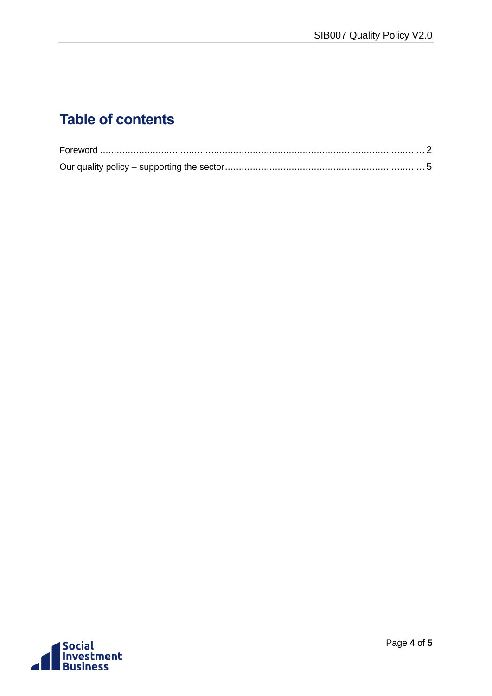# **Table of contents**